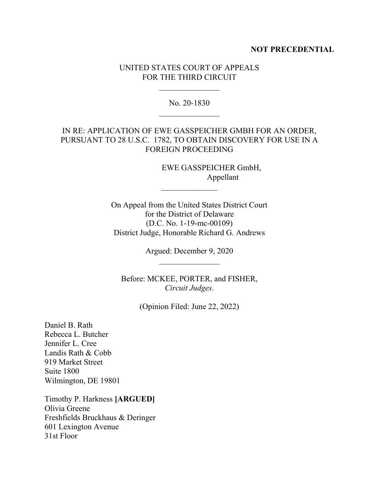### **NOT PRECEDENTIAL**

### UNITED STATES COURT OF APPEALS FOR THE THIRD CIRCUIT

No. 20-1830

# IN RE: APPLICATION OF EWE GASSPEICHER GMBH FOR AN ORDER, PURSUANT TO 28 U.S.C. 1782, TO OBTAIN DISCOVERY FOR USE IN A FOREIGN PROCEEDING

 EWE GASSPEICHER GmbH, Appellant

On Appeal from the United States District Court for the District of Delaware (D.C. No. 1-19-mc-00109) District Judge, Honorable Richard G. Andrews

 $\frac{1}{2}$ 

Argued: December 9, 2020

Before: MCKEE, PORTER, and FISHER, *Circuit Judges*.

(Opinion Filed: June 22, 2022)

Daniel B. Rath Rebecca L. Butcher Jennifer L. Cree Landis Rath & Cobb 919 Market Street Suite 1800 Wilmington, DE 19801

Timothy P. Harkness **[ARGUED]** Olivia Greene Freshfields Bruckhaus & Deringer 601 Lexington Avenue 31st Floor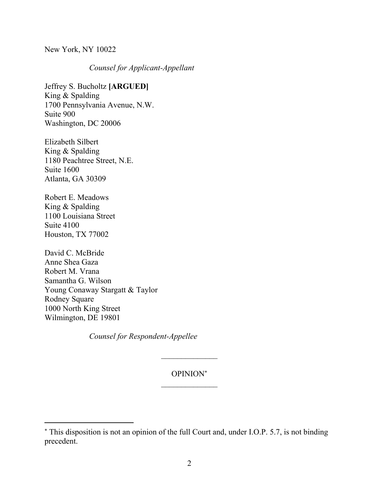New York, NY 10022

*Counsel for Applicant-Appellant*

Jeffrey S. Bucholtz **[ARGUED]** King & Spalding 1700 Pennsylvania Avenue, N.W. Suite 900 Washington, DC 20006

Elizabeth Silbert King & Spalding 1180 Peachtree Street, N.E. Suite 1600 Atlanta, GA 30309

Robert E. Meadows King & Spalding 1100 Louisiana Street Suite 4100 Houston, TX 77002

David C. McBride Anne Shea Gaza Robert M. Vrana Samantha G. Wilson Young Conaway Stargatt & Taylor Rodney Square 1000 North King Street Wilmington, DE 19801

*Counsel for Respondent-Appellee*

## OPINION

This disposition is not an opinion of the full Court and, under I.O.P. 5.7, is not binding precedent.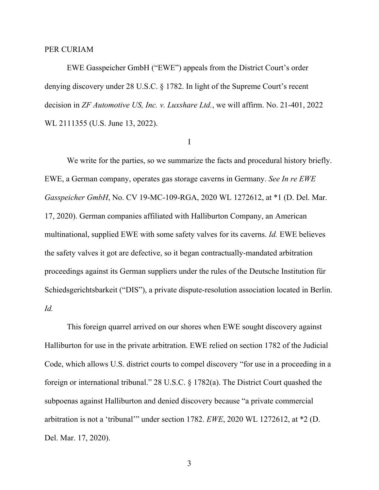### PER CURIAM

EWE Gasspeicher GmbH ("EWE") appeals from the District Court's order denying discovery under 28 U.S.C. § 1782. In light of the Supreme Court's recent decision in *ZF Automotive US, Inc. v. Luxshare Ltd.*, we will affirm. No. 21-401, 2022 WL 2111355 (U.S. June 13, 2022).

#### I

We write for the parties, so we summarize the facts and procedural history briefly. EWE, a German company, operates gas storage caverns in Germany. *See In re EWE Gasspeicher GmbH*, No. CV 19-MC-109-RGA, 2020 WL 1272612, at \*1 (D. Del. Mar. 17, 2020). German companies affiliated with Halliburton Company, an American multinational, supplied EWE with some safety valves for its caverns. *Id.* EWE believes the safety valves it got are defective, so it began contractually-mandated arbitration proceedings against its German suppliers under the rules of the Deutsche Institution für Schiedsgerichtsbarkeit ("DIS"), a private dispute-resolution association located in Berlin. *Id.* 

This foreign quarrel arrived on our shores when EWE sought discovery against Halliburton for use in the private arbitration. EWE relied on section 1782 of the Judicial Code, which allows U.S. district courts to compel discovery "for use in a proceeding in a foreign or international tribunal." 28 U.S.C. § 1782(a). The District Court quashed the subpoenas against Halliburton and denied discovery because "a private commercial arbitration is not a 'tribunal'" under section 1782. *EWE*, 2020 WL 1272612, at \*2 (D. Del. Mar. 17, 2020).

3